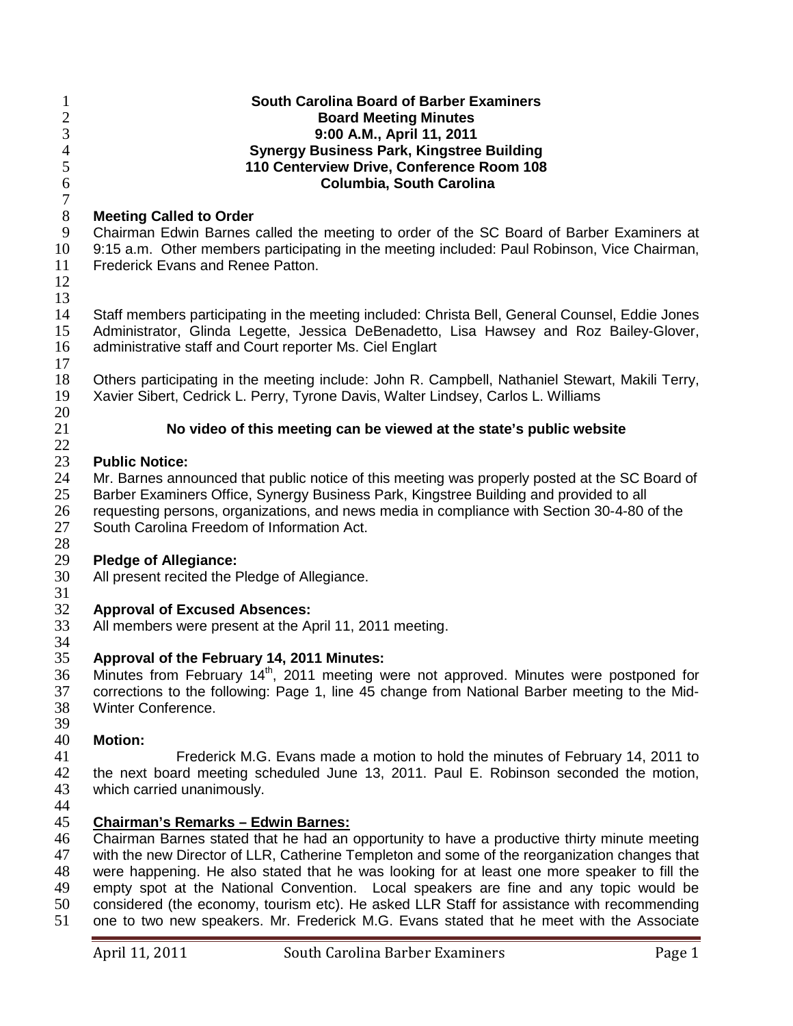| 1<br>$\overline{2}$<br>$\mathfrak{Z}$<br>$\overline{4}$ | <b>South Carolina Board of Barber Examiners</b><br><b>Board Meeting Minutes</b><br>9:00 A.M., April 11, 2011<br><b>Synergy Business Park, Kingstree Building</b>                                                                                      |
|---------------------------------------------------------|-------------------------------------------------------------------------------------------------------------------------------------------------------------------------------------------------------------------------------------------------------|
| $\mathfrak{S}$<br>6<br>$\tau$                           | 110 Centerview Drive, Conference Room 108<br>Columbia, South Carolina                                                                                                                                                                                 |
| $8\,$                                                   | <b>Meeting Called to Order</b>                                                                                                                                                                                                                        |
| 9                                                       | Chairman Edwin Barnes called the meeting to order of the SC Board of Barber Examiners at                                                                                                                                                              |
| 10<br>11                                                | 9:15 a.m. Other members participating in the meeting included: Paul Robinson, Vice Chairman,<br>Frederick Evans and Renee Patton.                                                                                                                     |
| 12                                                      |                                                                                                                                                                                                                                                       |
| 13                                                      |                                                                                                                                                                                                                                                       |
| 14<br>15<br>16                                          | Staff members participating in the meeting included: Christa Bell, General Counsel, Eddie Jones<br>Administrator, Glinda Legette, Jessica DeBenadetto, Lisa Hawsey and Roz Bailey-Glover,<br>administrative staff and Court reporter Ms. Ciel Englart |
| 17                                                      |                                                                                                                                                                                                                                                       |
| 18<br>19<br>20                                          | Others participating in the meeting include: John R. Campbell, Nathaniel Stewart, Makili Terry,<br>Xavier Sibert, Cedrick L. Perry, Tyrone Davis, Walter Lindsey, Carlos L. Williams                                                                  |
| 21                                                      | No video of this meeting can be viewed at the state's public website                                                                                                                                                                                  |
| 22                                                      |                                                                                                                                                                                                                                                       |
| 23                                                      | <b>Public Notice:</b>                                                                                                                                                                                                                                 |
| 24                                                      | Mr. Barnes announced that public notice of this meeting was properly posted at the SC Board of                                                                                                                                                        |
| 25                                                      | Barber Examiners Office, Synergy Business Park, Kingstree Building and provided to all                                                                                                                                                                |
| 26                                                      | requesting persons, organizations, and news media in compliance with Section 30-4-80 of the                                                                                                                                                           |
| 27<br>28                                                | South Carolina Freedom of Information Act.                                                                                                                                                                                                            |
| 29                                                      | <b>Pledge of Allegiance:</b>                                                                                                                                                                                                                          |
| 30<br>31                                                | All present recited the Pledge of Allegiance.                                                                                                                                                                                                         |
| 32                                                      | <b>Approval of Excused Absences:</b>                                                                                                                                                                                                                  |
| 33<br>34                                                | All members were present at the April 11, 2011 meeting.                                                                                                                                                                                               |
| 35                                                      | Approval of the February 14, 2011 Minutes:                                                                                                                                                                                                            |
| 36                                                      | Minutes from February 14 <sup>th</sup> , 2011 meeting were not approved. Minutes were postponed for                                                                                                                                                   |
| 37                                                      | corrections to the following: Page 1, line 45 change from National Barber meeting to the Mid-                                                                                                                                                         |
| 38                                                      | Winter Conference.                                                                                                                                                                                                                                    |
| 39                                                      |                                                                                                                                                                                                                                                       |
| 40                                                      | <b>Motion:</b>                                                                                                                                                                                                                                        |
| 41                                                      | Frederick M.G. Evans made a motion to hold the minutes of February 14, 2011 to                                                                                                                                                                        |
| 42<br>43                                                | the next board meeting scheduled June 13, 2011. Paul E. Robinson seconded the motion,<br>which carried unanimously.                                                                                                                                   |
| 44<br>45                                                | <b>Chairman's Remarks - Edwin Barnes:</b>                                                                                                                                                                                                             |
| 46                                                      | Chairman Barnes stated that he had an opportunity to have a productive thirty minute meeting                                                                                                                                                          |
| 47                                                      | with the new Director of LLR, Catherine Templeton and some of the reorganization changes that                                                                                                                                                         |
| 48                                                      | were happening. He also stated that he was looking for at least one more speaker to fill the                                                                                                                                                          |
| 49                                                      | empty spot at the National Convention. Local speakers are fine and any topic would be                                                                                                                                                                 |
| 50<br>51                                                | considered (the economy, tourism etc). He asked LLR Staff for assistance with recommending<br>one to two new speakers. Mr. Frederick M.G. Evans stated that he meet with the Associate                                                                |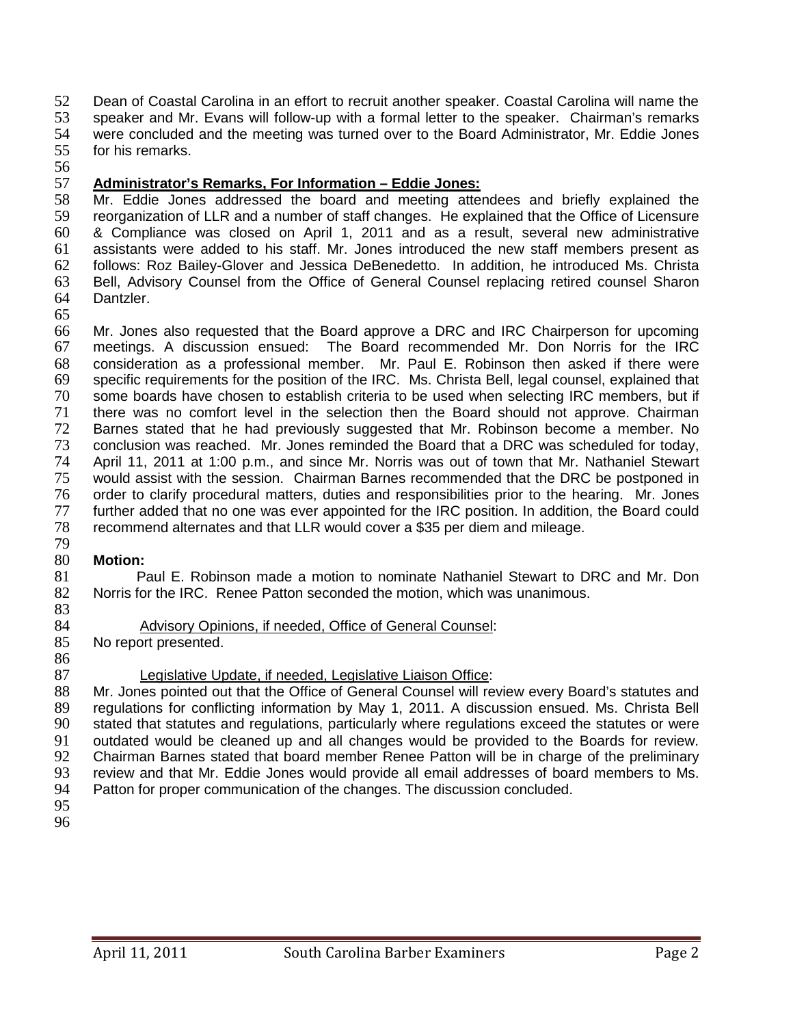52 Dean of Coastal Carolina in an effort to recruit another speaker. Coastal Carolina will name the<br>53 speaker and Mr. Evans will follow-up with a formal letter to the speaker. Chairman's remarks 53 speaker and Mr. Evans will follow-up with a formal letter to the speaker. Chairman's remarks 54 were concluded and the meeting was turned over to the Board Administrator, Mr. Eddie Jones<br>55 for his remarks. for his remarks.

56

#### 57 **Administrator's Remarks, For Information – Eddie Jones:**

58 Mr. Eddie Jones addressed the board and meeting attendees and briefly explained the 59 reorganization of LLR and a number of staff changes. He explained that the Office of Licensure 60 & Compliance was closed on April 1, 2011 and as a result, several new administrative<br>61 assistants were added to his staff. Mr. Jones introduced the new staff members present as 61 assistants were added to his staff. Mr. Jones introduced the new staff members present as 62 follows: Roz Bailey-Glover and Jessica DeBenedetto. In addition, he introduced Ms. Christa follows: Roz Bailey-Glover and Jessica DeBenedetto. In addition, he introduced Ms. Christa 63 Bell, Advisory Counsel from the Office of General Counsel replacing retired counsel Sharon 64 Dantzler.

65

66 Mr. Jones also requested that the Board approve a DRC and IRC Chairperson for upcoming 67 meetings. A discussion ensued: The Board recommended Mr. Don Norris for the IRC 68 consideration as a professional member. Mr. Paul E. Robinson then asked if there were 69 specific requirements for the position of the IRC. Ms. Christa Bell, legal counsel, explained that 50 specified that<br>To some boards have chosen to establish criteria to be used when selecting IRC members, but if some boards have chosen to establish criteria to be used when selecting IRC members, but if 71 there was no comfort level in the selection then the Board should not approve. Chairman 72 Barnes stated that he had previously suggested that Mr. Robinson become a member. No 73 conclusion was reached. Mr. Jones reminded the Board that a DRC was scheduled for today, 74 April 11, 2011 at 1:00 p.m., and since Mr. Norris was out of town that Mr. Nathaniel Stewart<br>75 would assist with the session. Chairman Barnes recommended that the DRC be postponed in 75 would assist with the session. Chairman Barnes recommended that the DRC be postponed in<br>76 order to clarify procedural matters, duties and responsibilities prior to the hearing. Mr. Jones 76 order to clarify procedural matters, duties and responsibilities prior to the hearing. Mr. Jones<br>77 further added that no one was ever appointed for the IRC position. In addition, the Board could further added that no one was ever appointed for the IRC position. In addition, the Board could 78 recommend alternates and that LLR would cover a \$35 per diem and mileage. 79

#### 80 **Motion:**

81 Paul E. Robinson made a motion to nominate Nathaniel Stewart to DRC and Mr. Don<br>82 Norris for the IRC. Renee Patton seconded the motion, which was unanimous. Norris for the IRC. Renee Patton seconded the motion, which was unanimous.

83

# 84 Advisory Opinions, if needed, Office of General Counsel:<br>85 No report presented.

No report presented.

86

#### 87 Legislative Update, if needed, Legislative Liaison Office:

88 Mr. Jones pointed out that the Office of General Counsel will review every Board's statutes and 89 regulations for conflicting information by May 1, 2011. A discussion ensued. Ms. Christa Bell<br>90 stated that statutes and regulations, particularly where regulations exceed the statutes or were 90 stated that statutes and regulations, particularly where regulations exceed the statutes or were<br>91 outdated would be cleaned up and all changes would be provided to the Boards for review. 91 outdated would be cleaned up and all changes would be provided to the Boards for review.<br>92 Chairman Barnes stated that board member Renee Patton will be in charge of the preliminary 92 Chairman Barnes stated that board member Renee Patton will be in charge of the preliminary 93 review and that Mr. Eddie Jones would provide all email addresses of board members to Ms. 94 Patton for proper communication of the changes. The discussion concluded.

- 95
- 96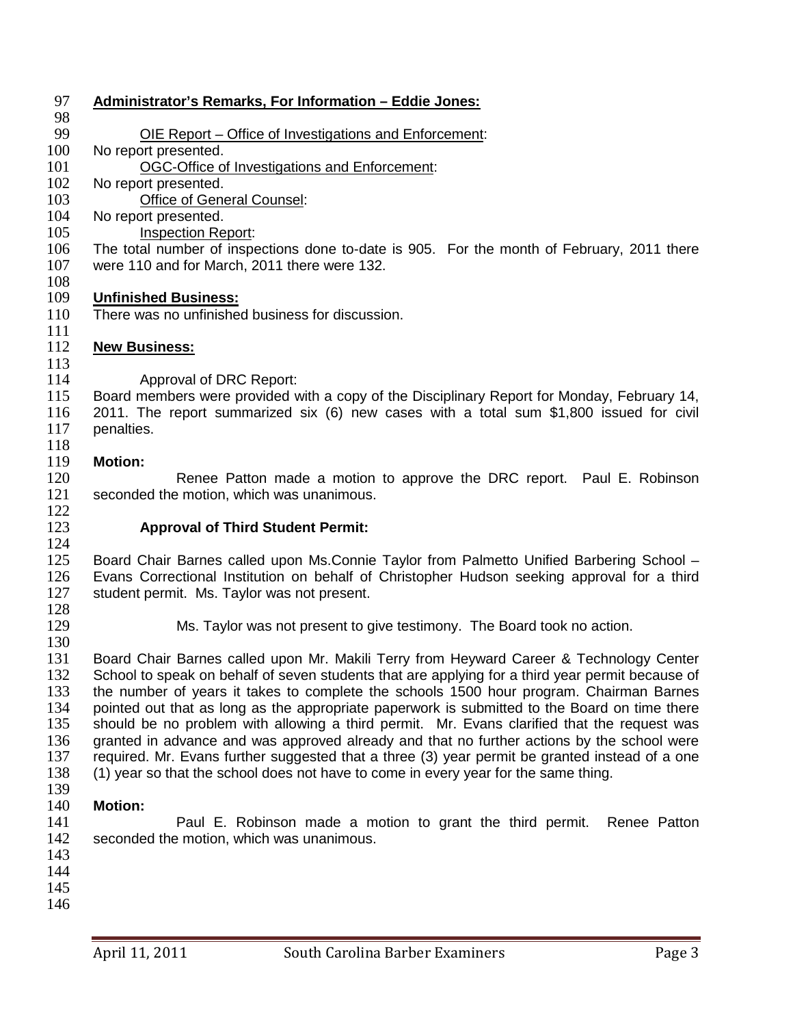| 97         | <b>Administrator's Remarks, For Information - Eddie Jones:</b>                                   |
|------------|--------------------------------------------------------------------------------------------------|
| 98         |                                                                                                  |
| 99         | <u> OIE Report – Office of Investigations and Enforcement:</u>                                   |
| 100        | No report presented.                                                                             |
| 101        | OGC-Office of Investigations and Enforcement:                                                    |
| 102        | No report presented.                                                                             |
| 103        | <b>Office of General Counsel:</b>                                                                |
| 104        | No report presented.                                                                             |
| 105        | <b>Inspection Report:</b>                                                                        |
| 106        | The total number of inspections done to-date is 905. For the month of February, 2011 there       |
| 107        | were 110 and for March, 2011 there were 132.                                                     |
| 108        |                                                                                                  |
| 109        | <b>Unfinished Business:</b>                                                                      |
| 110        | There was no unfinished business for discussion.                                                 |
| 111        |                                                                                                  |
| 112        | <b>New Business:</b>                                                                             |
| 113        |                                                                                                  |
| 114        | Approval of DRC Report:                                                                          |
| 115        | Board members were provided with a copy of the Disciplinary Report for Monday, February 14,      |
| 116        | 2011. The report summarized six (6) new cases with a total sum \$1,800 issued for civil          |
| 117        | penalties.                                                                                       |
| 118        |                                                                                                  |
| 119        | <b>Motion:</b>                                                                                   |
| 120        | Renee Patton made a motion to approve the DRC report. Paul E. Robinson                           |
| 121        | seconded the motion, which was unanimous.                                                        |
| 122        |                                                                                                  |
| 123        | <b>Approval of Third Student Permit:</b>                                                         |
| 124        |                                                                                                  |
| 125        | Board Chair Barnes called upon Ms.Connie Taylor from Palmetto Unified Barbering School -         |
| 126        | Evans Correctional Institution on behalf of Christopher Hudson seeking approval for a third      |
| 127        | student permit. Ms. Taylor was not present.                                                      |
| 128        |                                                                                                  |
| 129        | Ms. Taylor was not present to give testimony. The Board took no action.                          |
| 130        |                                                                                                  |
| 131        | Board Chair Barnes called upon Mr. Makili Terry from Heyward Career & Technology Center          |
| 132        | School to speak on behalf of seven students that are applying for a third year permit because of |
| 133        | the number of years it takes to complete the schools 1500 hour program. Chairman Barnes          |
| 134        | pointed out that as long as the appropriate paperwork is submitted to the Board on time there    |
| 135        | should be no problem with allowing a third permit. Mr. Evans clarified that the request was      |
| 136        | granted in advance and was approved already and that no further actions by the school were       |
| 137        | required. Mr. Evans further suggested that a three (3) year permit be granted instead of a one   |
| 138        | (1) year so that the school does not have to come in every year for the same thing.              |
| 139        |                                                                                                  |
| 140        | <b>Motion:</b>                                                                                   |
| 141        | Paul E. Robinson made a motion to grant the third permit.<br>Renee Patton                        |
| 142        | seconded the motion, which was unanimous.                                                        |
| 143        |                                                                                                  |
| 144        |                                                                                                  |
| 145<br>146 |                                                                                                  |
|            |                                                                                                  |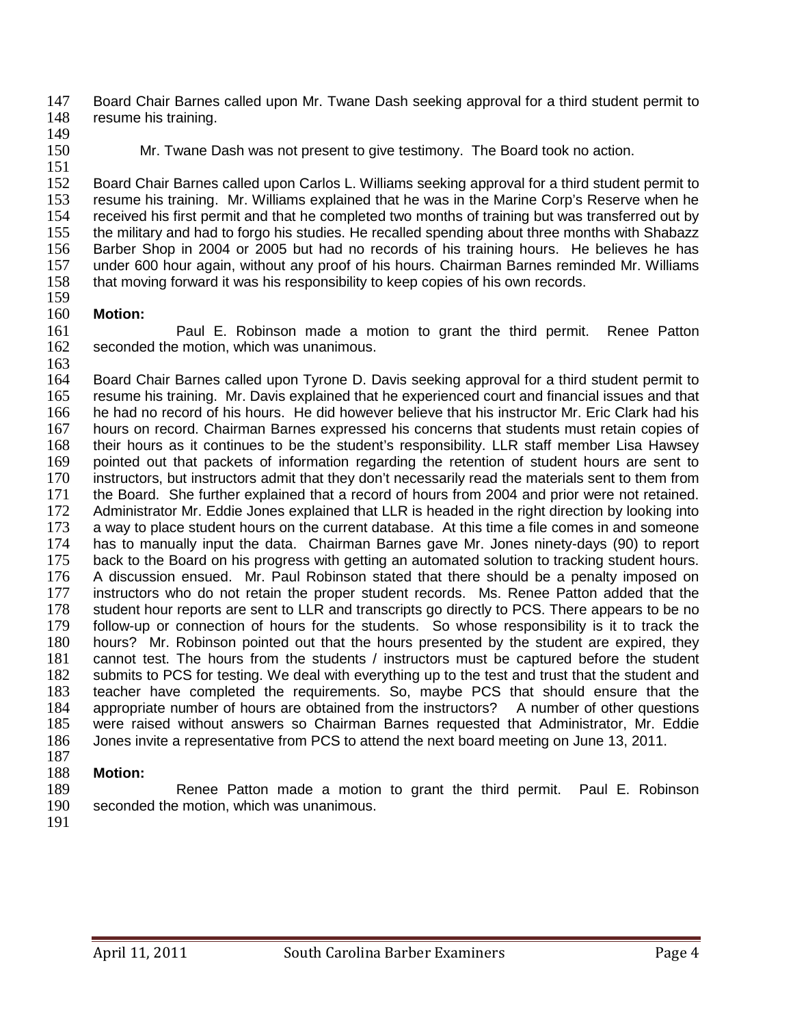147 Board Chair Barnes called upon Mr. Twane Dash seeking approval for a third student permit to 148 resume his training. resume his training.

- 149<br>150
- 151

Mr. Twane Dash was not present to give testimony. The Board took no action.

152 Board Chair Barnes called upon Carlos L. Williams seeking approval for a third student permit to 153 resume his training. Mr. Williams explained that he was in the Marine Corp's Reserve when he 154 received his first permit and that he completed two months of training but was transferred out by<br>155 the military and had to forgo his studies. He recalled spending about three months with Shabazz 155 the military and had to forgo his studies. He recalled spending about three months with Shabazz<br>156 Barber Shop in 2004 or 2005 but had no records of his training hours. He believes he has 156 Barber Shop in 2004 or 2005 but had no records of his training hours. He believes he has 157 under 600 hour again, without any proof of his hours. Chairman Barnes reminded Mr. Williams under 600 hour again, without any proof of his hours. Chairman Barnes reminded Mr. Williams 158 that moving forward it was his responsibility to keep copies of his own records.

159<br>160 **Motion:** 

161 Paul E. Robinson made a motion to grant the third permit. Renee Patton 162 seconded the motion, which was unanimous.

 $\frac{163}{164}$ 164 Board Chair Barnes called upon Tyrone D. Davis seeking approval for a third student permit to 165 resume his training. Mr. Davis explained that he experienced court and financial issues and that 165 resume his training. Mr. Davis explained that he experienced court and financial issues and that 166 he had no record of his hours. He did however believe that his instructor Mr. Eric Clark had his 167 hours on record. Chairman Barnes expressed his concerns that students must retain copies of 168 their hours as it continues to be the student's responsibility. LLR staff member Lisa Hawsey 169 pointed out that packets of information regarding the retention of student hours are sent to 170 instructors, but instructors admit that they don't necessarily read the materials sent to them from 170 instructors, but instructors admit that they don't necessarily read the materials sent to them from<br>171 the Board. She further explained that a record of hours from 2004 and prior were not retained. 171 the Board. She further explained that a record of hours from 2004 and prior were not retained.<br>172 Administrator Mr. Eddie Jones explained that LLR is headed in the right direction by looking into Administrator Mr. Eddie Jones explained that LLR is headed in the right direction by looking into 173 a way to place student hours on the current database. At this time a file comes in and someone 174 has to manually input the data. Chairman Barnes gave Mr. Jones ninety-days (90) to report 175 back to the Board on his progress with getting an automated solution to tracking student hours. 176 A discussion ensued. Mr. Paul Robinson stated that there should be a penalty imposed on 177 instructors who do not retain the proper student records. Ms. Renee Patton added that the 178 student hour reports are sent to LLR and transcripts go directly to PCS. There appears to be no<br>179 follow-up or connection of hours for the students. So whose responsibility is it to track the 179 follow-up or connection of hours for the students. So whose responsibility is it to track the 180 hours? Mr. Robinson pointed out that the hours presented by the student are expired, they hours? Mr. Robinson pointed out that the hours presented by the student are expired, they 181 cannot test. The hours from the students / instructors must be captured before the student 182 submits to PCS for testing. We deal with everything up to the test and trust that the student and 183 teacher have completed the requirements. So, maybe PCS that should ensure that the 184 appropriate number of hours are obtained from the instructors? A number of other questions 185 were raised without answers so Chairman Barnes requested that Administrator. Mr. Eddie 185 were raised without answers so Chairman Barnes requested that Administrator, Mr. Eddie 186 Jones invite a representative from PCS to attend the next board meeting on June 13, 2011. Jones invite a representative from PCS to attend the next board meeting on June 13, 2011.

- 187
- 188 **Motion:**

189 Renee Patton made a motion to grant the third permit. Paul E. Robinson<br>190 seconded the motion, which was unanimous. seconded the motion, which was unanimous.

191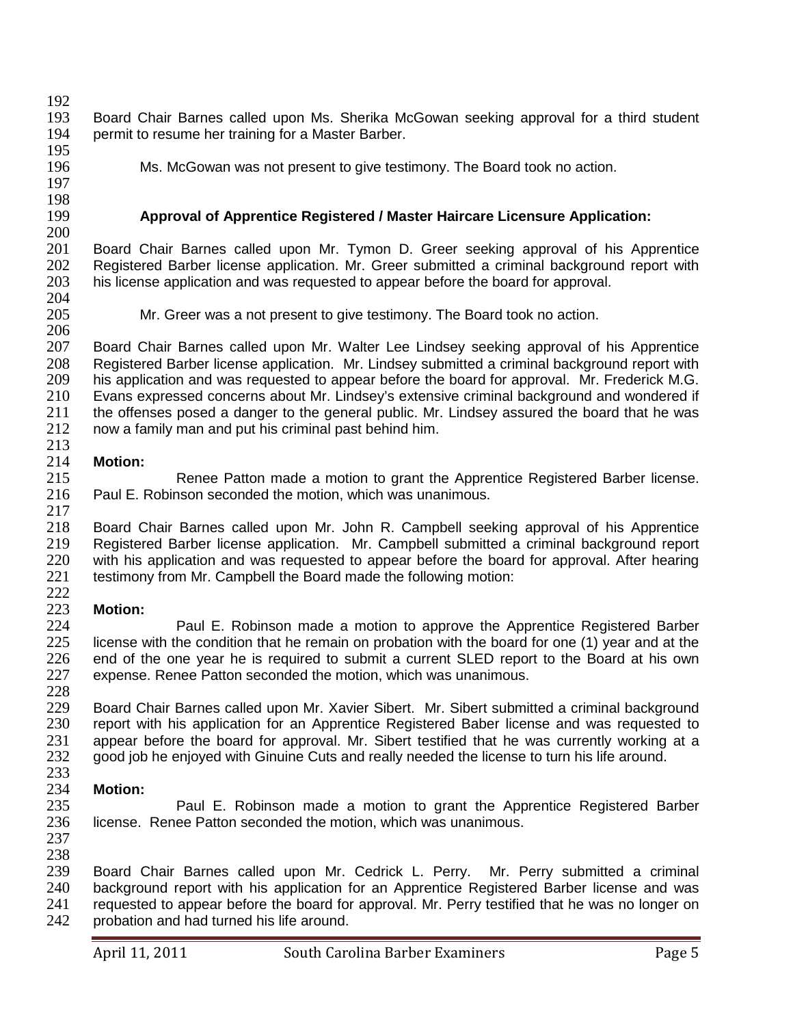192<br>193 193 Board Chair Barnes called upon Ms. Sherika McGowan seeking approval for a third student 194 permit to resume her training for a Master Barber. permit to resume her training for a Master Barber.

195<br>196

197 198<br>199 Ms. McGowan was not present to give testimony. The Board took no action.

### 199 **Approval of Apprentice Registered / Master Haircare Licensure Application:**

200 201 Board Chair Barnes called upon Mr. Tymon D. Greer seeking approval of his Apprentice<br>202 Registered Barber license application. Mr. Greer submitted a criminal background report with Registered Barber license application. Mr. Greer submitted a criminal background report with 203 his license application and was requested to appear before the board for approval.

204<br>205

206

Mr. Greer was a not present to give testimony. The Board took no action.

207 Board Chair Barnes called upon Mr. Walter Lee Lindsey seeking approval of his Apprentice<br>208 Registered Barber license application. Mr. Lindsey submitted a criminal background report with 208 Registered Barber license application. Mr. Lindsey submitted a criminal background report with 209 his application and was requested to appear before the board for approval. Mr. Frederick M.G. 209 his application and was requested to appear before the board for approval. Mr. Frederick M.G.<br>210 Evans expressed concerns about Mr. Lindsev's extensive criminal backaround and wondered if Evans expressed concerns about Mr. Lindsey's extensive criminal background and wondered if 211 the offenses posed a danger to the general public. Mr. Lindsey assured the board that he was 212 now a family man and put his criminal past behind him. now a family man and put his criminal past behind him.

### $\frac{213}{214}$

214 **Motion:** 215 Renee Patton made a motion to grant the Apprentice Registered Barber license.<br>216 Paul E. Robinson seconded the motion. which was unanimous. Paul E. Robinson seconded the motion, which was unanimous. 217

218 Board Chair Barnes called upon Mr. John R. Campbell seeking approval of his Apprentice<br>219 Registered Barber license application. Mr. Campbell submitted a criminal background report 219 Registered Barber license application. Mr. Campbell submitted a criminal background report 220 with his application and was requested to appear before the board for approval. After hearing 220 with his application and was requested to appear before the board for approval. After hearing 221 testimony from Mr. Campbell the Board made the following motion: testimony from Mr. Campbell the Board made the following motion:

### $^{222}_{223}$

223 **Motion:** 224 Paul E. Robinson made a motion to approve the Apprentice Registered Barber<br>225 license with the condition that he remain on probation with the board for one (1) year and at the license with the condition that he remain on probation with the board for one (1) year and at the 226 end of the one year he is required to submit a current SLED report to the Board at his own 227 expense. Renee Patton seconded the motion, which was unanimous.

228<br>229 229 Board Chair Barnes called upon Mr. Xavier Sibert. Mr. Sibert submitted a criminal background<br>230 Freport with his application for an Apprentice Registered Baber license and was requested to 230 report with his application for an Apprentice Registered Baber license and was requested to 231 appear before the board for approval. Mr. Sibert testified that he was currently working at a 231 appear before the board for approval. Mr. Sibert testified that he was currently working at a<br>232 aood job he enioved with Ginuine Cuts and really needed the license to turn his life around. good job he enjoyed with Ginuine Cuts and really needed the license to turn his life around.

# $\frac{233}{234}$

234 **Motion:** Paul E. Robinson made a motion to grant the Apprentice Registered Barber 236 license. Renee Patton seconded the motion, which was unanimous.

237

238<br>239 Board Chair Barnes called upon Mr. Cedrick L. Perry. Mr. Perry submitted a criminal 240 background report with his application for an Apprentice Registered Barber license and was 241 requested to appear before the board for approval. Mr. Perry testified that he was no longer on 242 probation and had turned his life around. probation and had turned his life around.